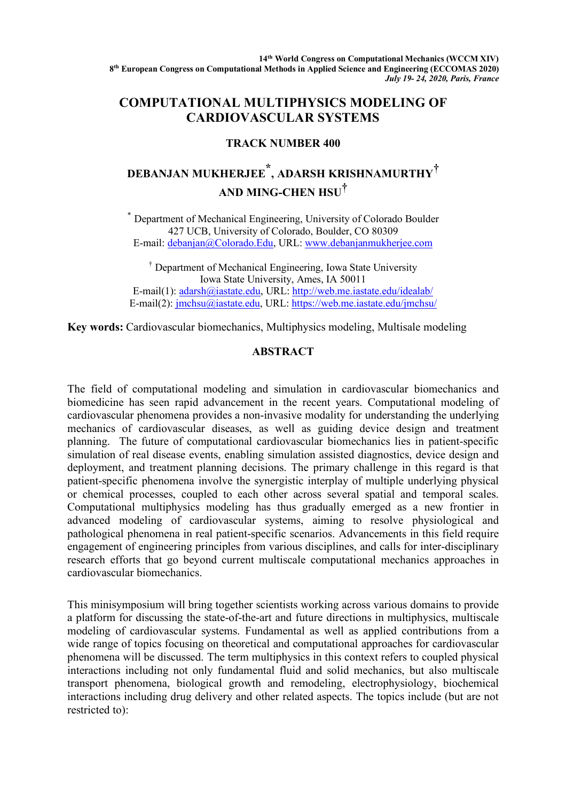## **COMPUTATIONAL MULTIPHYSICS MODELING OF CARDIOVASCULAR SYSTEMS**

## **TRACK NUMBER 400**

## **DEBANJAN MUKHERJEE \*, ADARSH KRISHNAMURTHY† AND MING-CHEN HSU†**

\* Department of Mechanical Engineering, University of Colorado Boulder 427 UCB, University of Colorado, Boulder, CO 80309 E-mail: debanjan@Colorado.Edu, URL: www.debanjanmukherjee.com

† Department of Mechanical Engineering, Iowa State University Iowa State University, Ames, IA 50011 E-mail(1): adarsh@iastate.edu, URL: http://web.me.iastate.edu/idealab/ E-mail(2): jmchsu@iastate.edu, URL: https://web.me.iastate.edu/jmchsu/

**Key words:** Cardiovascular biomechanics, Multiphysics modeling, Multisale modeling

## **ABSTRACT**

The field of computational modeling and simulation in cardiovascular biomechanics and biomedicine has seen rapid advancement in the recent years. Computational modeling of cardiovascular phenomena provides a non-invasive modality for understanding the underlying mechanics of cardiovascular diseases, as well as guiding device design and treatment planning. The future of computational cardiovascular biomechanics lies in patient-specific simulation of real disease events, enabling simulation assisted diagnostics, device design and deployment, and treatment planning decisions. The primary challenge in this regard is that patient-specific phenomena involve the synergistic interplay of multiple underlying physical or chemical processes, coupled to each other across several spatial and temporal scales. Computational multiphysics modeling has thus gradually emerged as a new frontier in advanced modeling of cardiovascular systems, aiming to resolve physiological and pathological phenomena in real patient-specific scenarios. Advancements in this field require engagement of engineering principles from various disciplines, and calls for inter-disciplinary research efforts that go beyond current multiscale computational mechanics approaches in cardiovascular biomechanics.

This minisymposium will bring together scientists working across various domains to provide a platform for discussing the state-of-the-art and future directions in multiphysics, multiscale modeling of cardiovascular systems. Fundamental as well as applied contributions from a wide range of topics focusing on theoretical and computational approaches for cardiovascular phenomena will be discussed. The term multiphysics in this context refers to coupled physical interactions including not only fundamental fluid and solid mechanics, but also multiscale transport phenomena, biological growth and remodeling, electrophysiology, biochemical interactions including drug delivery and other related aspects. The topics include (but are not restricted to):